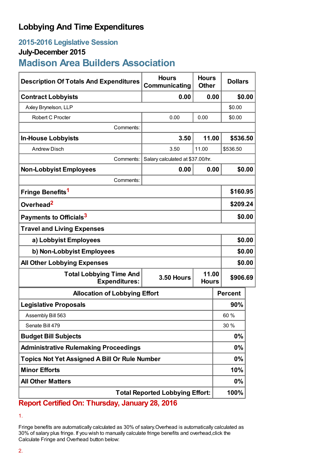## **Lobbying And Time Expenditures**

## **2015-2016 Legislative Session**

### **July-December 2015**

# **Madison Area Builders Association**

| <b>Description Of Totals And Expenditures</b>          | <b>Hours</b><br>Communicating    | <b>Hours</b><br><b>Other</b>      | <b>Dollars</b> |
|--------------------------------------------------------|----------------------------------|-----------------------------------|----------------|
| <b>Contract Lobbyists</b>                              | 0.00                             | 0.00                              | \$0.00         |
| Axley Brynelson, LLP                                   |                                  |                                   | \$0.00         |
| Robert C Procter                                       | 0.00                             | 0.00                              | \$0.00         |
| Comments:                                              |                                  |                                   |                |
| <b>In-House Lobbyists</b>                              | 3.50                             | 11.00                             | \$536.50       |
| <b>Andrew Disch</b>                                    | 3.50                             | 11.00                             | \$536.50       |
| Comments:                                              | Salary calculated at \$37.00/hr. |                                   |                |
| <b>Non-Lobbyist Employees</b>                          | 0.00                             | 0.00                              | \$0.00         |
| Comments:                                              |                                  |                                   |                |
| Fringe Benefits <sup>1</sup>                           |                                  |                                   | \$160.95       |
| Overhead <sup>2</sup>                                  |                                  |                                   | \$209.24       |
| Payments to Officials <sup>3</sup>                     |                                  |                                   | \$0.00         |
| <b>Travel and Living Expenses</b>                      |                                  |                                   |                |
| a) Lobbyist Employees                                  |                                  |                                   | \$0.00         |
| b) Non-Lobbyist Employees                              |                                  |                                   | \$0.00         |
| <b>All Other Lobbying Expenses</b>                     |                                  |                                   | \$0.00         |
| <b>Total Lobbying Time And</b><br><b>Expenditures:</b> | <b>3.50 Hours</b>                | 11.00<br>\$906.69<br><b>Hours</b> |                |
| <b>Allocation of Lobbying Effort</b>                   |                                  |                                   | <b>Percent</b> |
| <b>Legislative Proposals</b>                           |                                  |                                   | 90%            |
| Assembly Bill 563                                      |                                  |                                   | 60%            |
| Senate Bill 479                                        |                                  |                                   | 30 %           |
| <b>Budget Bill Subjects</b>                            |                                  |                                   | 0%             |
| <b>Administrative Rulemaking Proceedings</b>           |                                  |                                   | 0%             |
| <b>Topics Not Yet Assigned A Bill Or Rule Number</b>   |                                  |                                   | 0%             |
| <b>Minor Efforts</b>                                   |                                  |                                   | 10%            |
| <b>All Other Matters</b>                               |                                  |                                   | 0%             |
| <b>Total Reported Lobbying Effort:</b>                 |                                  |                                   | 100%           |

**Report Certified On: Thursday, January 28, 2016**

<sup>1.</sup>

Fringe benefits are automatically calculated as 30% of salary.Overhead is automatically calculated as 30% of salary plus fringe. If you wish to manually calculate fringe benefits and overhead,click the Calculate Fringe and Overhead button below: